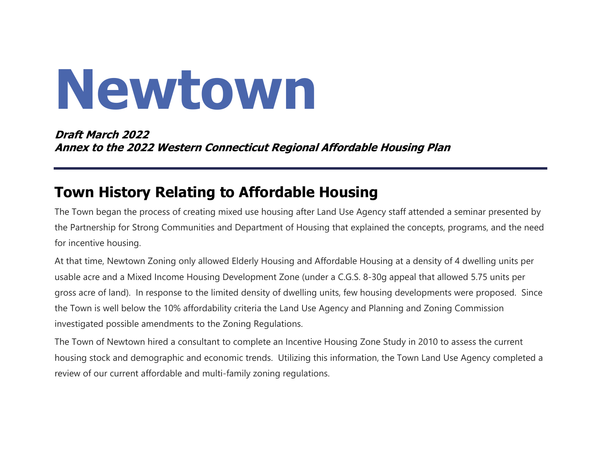# **Newtown**

**Draft March 2022 Annex to the 2022 Western Connecticut Regional Affordable Housing Plan**

## **Town History Relating to Affordable Housing**

The Town began the process of creating mixed use housing after Land Use Agency staff attended a seminar presented by the Partnership for Strong Communities and Department of Housing that explained the concepts, programs, and the need for incentive housing.

At that time, Newtown Zoning only allowed Elderly Housing and Affordable Housing at a density of 4 dwelling units per usable acre and a Mixed Income Housing Development Zone (under a C.G.S. 8-30g appeal that allowed 5.75 units per gross acre of land). In response to the limited density of dwelling units, few housing developments were proposed. Since the Town is well below the 10% affordability criteria the Land Use Agency and Planning and Zoning Commission investigated possible amendments to the Zoning Regulations.

The Town of Newtown hired a consultant to complete an Incentive Housing Zone Study in 2010 to assess the current housing stock and demographic and economic trends. Utilizing this information, the Town Land Use Agency completed a review of our current affordable and multi-family zoning regulations.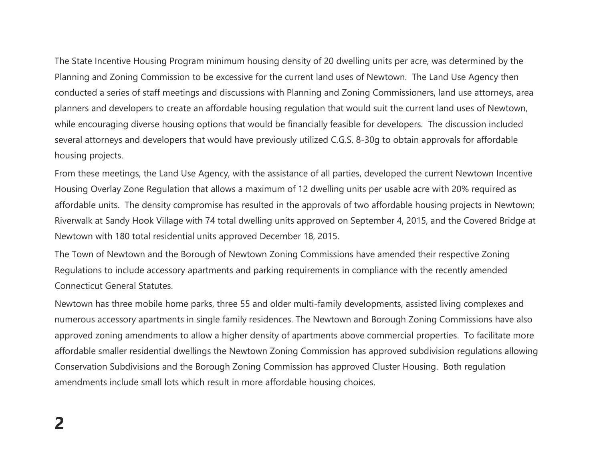The State Incentive Housing Program minimum housing density of 20 dwelling units per acre, was determined by the Planning and Zoning Commission to be excessive for the current land uses of Newtown. The Land Use Agency then conducted a series of staff meetings and discussions with Planning and Zoning Commissioners, land use attorneys, area planners and developers to create an affordable housing regulation that would suit the current land uses of Newtown, while encouraging diverse housing options that would be financially feasible for developers. The discussion included several attorneys and developers that would have previously utilized C.G.S. 8-30g to obtain approvals for affordable housing projects.

From these meetings, the Land Use Agency, with the assistance of all parties, developed the current Newtown Incentive Housing Overlay Zone Regulation that allows a maximum of 12 dwelling units per usable acre with 20% required as affordable units. The density compromise has resulted in the approvals of two affordable housing projects in Newtown; Riverwalk at Sandy Hook Village with 74 total dwelling units approved on September 4, 2015, and the Covered Bridge at Newtown with 180 total residential units approved December 18, 2015.

The Town of Newtown and the Borough of Newtown Zoning Commissions have amended their respective Zoning Regulations to include accessory apartments and parking requirements in compliance with the recently amended Connecticut General Statutes.

Newtown has three mobile home parks, three 55 and older multi-family developments, assisted living complexes and numerous accessory apartments in single family residences. The Newtown and Borough Zoning Commissions have also approved zoning amendments to allow a higher density of apartments above commercial properties. To facilitate more affordable smaller residential dwellings the Newtown Zoning Commission has approved subdivision regulations allowing Conservation Subdivisions and the Borough Zoning Commission has approved Cluster Housing. Both regulation amendments include small lots which result in more affordable housing choices.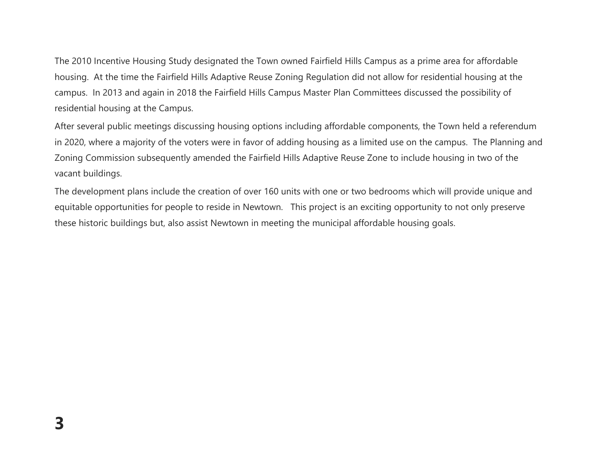The 2010 Incentive Housing Study designated the Town owned Fairfield Hills Campus as a prime area for affordable housing. At the time the Fairfield Hills Adaptive Reuse Zoning Regulation did not allow for residential housing at the campus. In 2013 and again in 2018 the Fairfield Hills Campus Master Plan Committees discussed the possibility of residential housing at the Campus.

After several public meetings discussing housing options including affordable components, the Town held a referendum in 2020, where a majority of the voters were in favor of adding housing as a limited use on the campus. The Planning and Zoning Commission subsequently amended the Fairfield Hills Adaptive Reuse Zone to include housing in two of the vacant buildings.

The development plans include the creation of over 160 units with one or two bedrooms which will provide unique and equitable opportunities for people to reside in Newtown. This project is an exciting opportunity to not only preserve these historic buildings but, also assist Newtown in meeting the municipal affordable housing goals.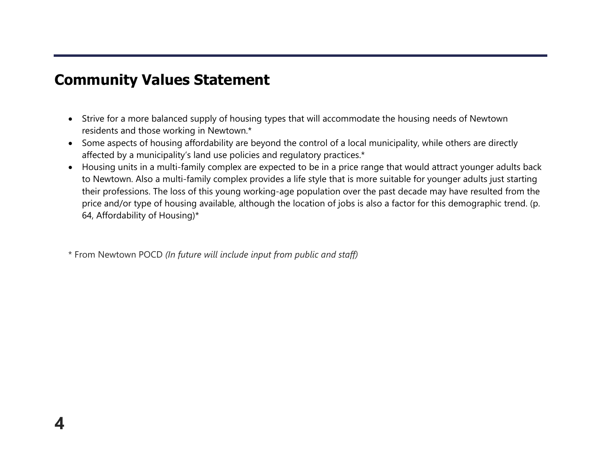### **Community Values Statement**

**4**

- Strive for a more balanced supply of housing types that will accommodate the housing needs of Newtown residents and those working in Newtown.\*
- Some aspects of housing affordability are beyond the control of a local municipality, while others are directly affected by a municipality's land use policies and regulatory practices.\*
- Housing units in a multi-family complex are expected to be in a price range that would attract younger adults back to Newtown. Also a multi-family complex provides a life style that is more suitable for younger adults just starting their professions. The loss of this young working-age population over the past decade may have resulted from the price and/or type of housing available, although the location of jobs is also a factor for this demographic trend. (p. 64, Affordability of Housing)\*

\* From Newtown POCD *(In future will include input from public and staff)*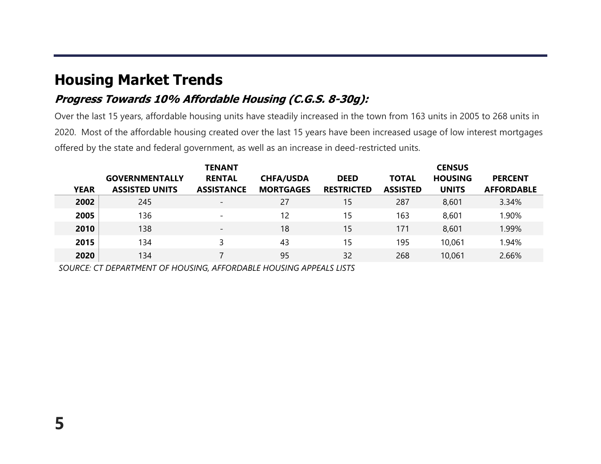## **Housing Market Trends**

#### **Progress Towards 10% Affordable Housing (C.G.S. 8-30g):**

Over the last 15 years, affordable housing units have steadily increased in the town from 163 units in 2005 to 268 units in 2020. Most of the affordable housing created over the last 15 years have been increased usage of low interest mortgages offered by the state and federal government, as well as an increase in deed-restricted units.

|             |                                                | <b>TENANT</b>                      | <b>CENSUS</b>                        |                                  |                                 |                                |                                     |
|-------------|------------------------------------------------|------------------------------------|--------------------------------------|----------------------------------|---------------------------------|--------------------------------|-------------------------------------|
| <b>YEAR</b> | <b>GOVERNMENTALLY</b><br><b>ASSISTED UNITS</b> | <b>RENTAL</b><br><b>ASSISTANCE</b> | <b>CHFA/USDA</b><br><b>MORTGAGES</b> | <b>DEED</b><br><b>RESTRICTED</b> | <b>TOTAL</b><br><b>ASSISTED</b> | <b>HOUSING</b><br><b>UNITS</b> | <b>PERCENT</b><br><b>AFFORDABLE</b> |
| 2002        | 245                                            |                                    | 27                                   | 15                               | 287                             | 8,601                          | 3.34%                               |
| 2005        | 136                                            | $\overline{\phantom{0}}$           | 12                                   | 15                               | 163                             | 8,601                          | 1.90%                               |
| 2010        | 138                                            | $\overline{\phantom{a}}$           | 18                                   | 15                               | 171                             | 8,601                          | 1.99%                               |
| 2015        | 134                                            |                                    | 43                                   | 15                               | 195                             | 10,061                         | 1.94%                               |
| 2020        | 134                                            |                                    | 95                                   | 32                               | 268                             | 10,061                         | 2.66%                               |

*SOURCE: CT DEPARTMENT OF HOUSING, AFFORDABLE HOUSING APPEALS LISTS*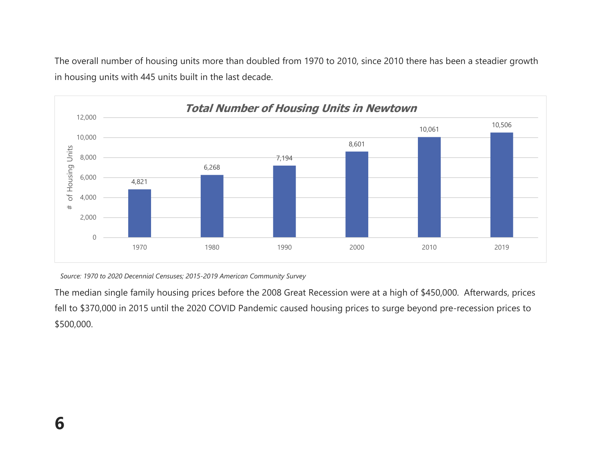The overall number of housing units more than doubled from 1970 to 2010, since 2010 there has been a steadier growth in housing units with 445 units built in the last decade.



*Source: 1970 to 2020 Decennial Censuses; 2015-2019 American Community Survey*

The median single family housing prices before the 2008 Great Recession were at a high of \$450,000. Afterwards, prices fell to \$370,000 in 2015 until the 2020 COVID Pandemic caused housing prices to surge beyond pre-recession prices to \$500,000.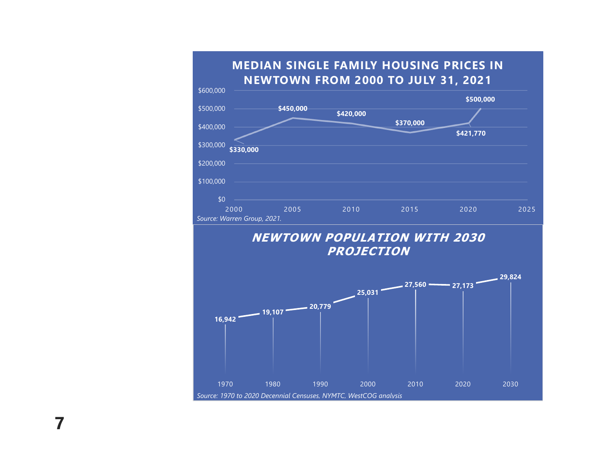

#### **NEWTOWN POPULATION WITH 2030 PROJECTION**



**7**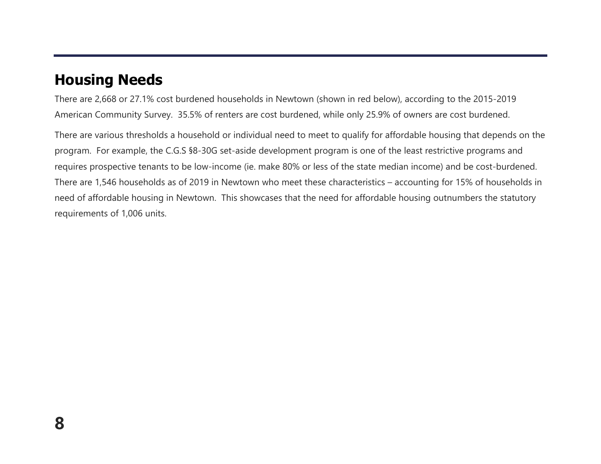## **Housing Needs**

There are 2,668 or 27.1% cost burdened households in Newtown (shown in red below), according to the 2015-2019 American Community Survey. 35.5% of renters are cost burdened, while only 25.9% of owners are cost burdened.

There are various thresholds a household or individual need to meet to qualify for affordable housing that depends on the program. For example, the C.G.S §8-30G set-aside development program is one of the least restrictive programs and requires prospective tenants to be low-income (ie. make 80% or less of the state median income) and be cost-burdened. There are 1,546 households as of 2019 in Newtown who meet these characteristics – accounting for 15% of households in need of affordable housing in Newtown. This showcases that the need for affordable housing outnumbers the statutory requirements of 1,006 units.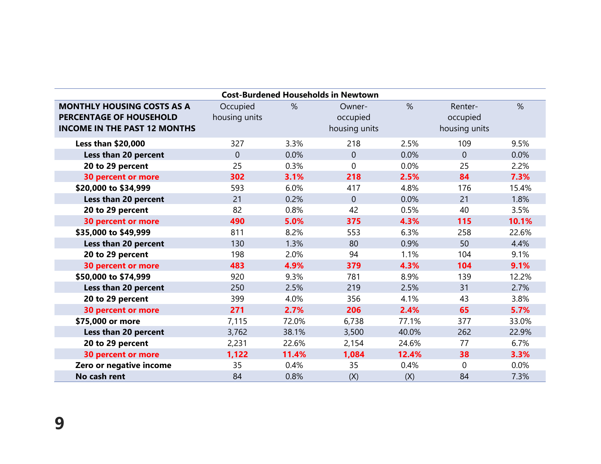| <b>Cost-Burdened Households in Newtown</b>                                                                 |                           |       |                                     |       |                                      |       |  |  |  |  |  |
|------------------------------------------------------------------------------------------------------------|---------------------------|-------|-------------------------------------|-------|--------------------------------------|-------|--|--|--|--|--|
| <b>MONTHLY HOUSING COSTS AS A</b><br><b>PERCENTAGE OF HOUSEHOLD</b><br><b>INCOME IN THE PAST 12 MONTHS</b> | Occupied<br>housing units | $\%$  | Owner-<br>occupied<br>housing units | %     | Renter-<br>occupied<br>housing units | %     |  |  |  |  |  |
| <b>Less than \$20,000</b>                                                                                  | 327                       | 3.3%  | 218                                 | 2.5%  | 109                                  | 9.5%  |  |  |  |  |  |
| Less than 20 percent                                                                                       | $\overline{0}$            | 0.0%  | $\overline{0}$                      | 0.0%  | $\overline{0}$                       | 0.0%  |  |  |  |  |  |
| 20 to 29 percent                                                                                           | 25                        | 0.3%  | $\overline{0}$                      | 0.0%  | 25                                   | 2.2%  |  |  |  |  |  |
| <b>30 percent or more</b>                                                                                  | 302                       | 3.1%  | 218                                 | 2.5%  | 84                                   | 7.3%  |  |  |  |  |  |
| \$20,000 to \$34,999                                                                                       | 593                       | 6.0%  | 417                                 | 4.8%  | 176                                  | 15.4% |  |  |  |  |  |
| Less than 20 percent                                                                                       | 21                        | 0.2%  | $\Omega$                            | 0.0%  | 21                                   | 1.8%  |  |  |  |  |  |
| 20 to 29 percent                                                                                           | 82                        | 0.8%  | 42                                  | 0.5%  | 40                                   | 3.5%  |  |  |  |  |  |
| 30 percent or more                                                                                         | 490                       | 5.0%  | 375                                 | 4.3%  | 115                                  | 10.1% |  |  |  |  |  |
| \$35,000 to \$49,999                                                                                       | 811                       | 8.2%  | 553                                 | 6.3%  | 258                                  | 22.6% |  |  |  |  |  |
| Less than 20 percent                                                                                       | 130                       | 1.3%  | 80                                  | 0.9%  | 50                                   | 4.4%  |  |  |  |  |  |
| 20 to 29 percent                                                                                           | 198                       | 2.0%  | 94                                  | 1.1%  | 104                                  | 9.1%  |  |  |  |  |  |
| <b>30 percent or more</b>                                                                                  | 483                       | 4.9%  | 379                                 | 4.3%  | 104                                  | 9.1%  |  |  |  |  |  |
| \$50,000 to \$74,999                                                                                       | 920                       | 9.3%  | 781                                 | 8.9%  | 139                                  | 12.2% |  |  |  |  |  |
| Less than 20 percent                                                                                       | 250                       | 2.5%  | 219                                 | 2.5%  | 31                                   | 2.7%  |  |  |  |  |  |
| 20 to 29 percent                                                                                           | 399                       | 4.0%  | 356                                 | 4.1%  | 43                                   | 3.8%  |  |  |  |  |  |
| <b>30 percent or more</b>                                                                                  | 271                       | 2.7%  | 206                                 | 2.4%  | 65                                   | 5.7%  |  |  |  |  |  |
| \$75,000 or more                                                                                           | 7,115                     | 72.0% | 6,738                               | 77.1% | 377                                  | 33.0% |  |  |  |  |  |
| Less than 20 percent                                                                                       | 3,762                     | 38.1% | 3,500                               | 40.0% | 262                                  | 22.9% |  |  |  |  |  |
| 20 to 29 percent                                                                                           | 2,231                     | 22.6% | 2,154                               | 24.6% | 77                                   | 6.7%  |  |  |  |  |  |
| <b>30 percent or more</b>                                                                                  | 1,122                     | 11.4% | 1,084                               | 12.4% | 38                                   | 3.3%  |  |  |  |  |  |
| Zero or negative income                                                                                    | 35                        | 0.4%  | 35                                  | 0.4%  | $\Omega$                             | 0.0%  |  |  |  |  |  |
| No cash rent                                                                                               | 84                        | 0.8%  | (X)                                 | (X)   | 84                                   | 7.3%  |  |  |  |  |  |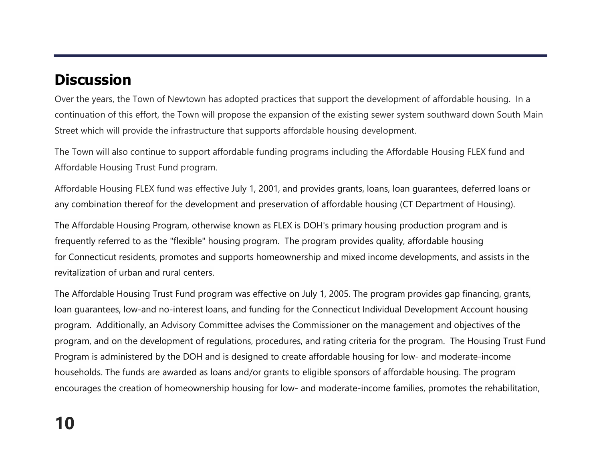# **Discussion**

Over the years, the Town of Newtown has adopted practices that support the development of affordable housing. In a continuation of this effort, the Town will propose the expansion of the existing sewer system southward down South Main Street which will provide the infrastructure that supports affordable housing development.

The Town will also continue to support affordable funding programs including the Affordable Housing FLEX fund and Affordable Housing Trust Fund program.

Affordable Housing FLEX fund was effective July 1, 2001, and provides grants, loans, loan guarantees, deferred loans or any combination thereof for the development and preservation of affordable housing (CT Department of Housing).

The Affordable Housing Program, otherwise known as FLEX is DOH's primary housing production program and is frequently referred to as the "flexible" housing program. The program provides quality, affordable housing for Connecticut residents, promotes and supports homeownership and mixed income developments, and assists in the revitalization of urban and rural centers.

The Affordable Housing Trust Fund program was effective on July 1, 2005. The program provides gap financing, grants, loan guarantees, low-and no-interest loans, and funding for the Connecticut Individual Development Account housing program. Additionally, an Advisory Committee advises the Commissioner on the management and objectives of the program, and on the development of regulations, procedures, and rating criteria for the program. The Housing Trust Fund Program is administered by the DOH and is designed to create affordable housing for low- and moderate-income households. The funds are awarded as loans and/or grants to eligible sponsors of affordable housing. The program encourages the creation of homeownership housing for low- and moderate-income families, promotes the rehabilitation,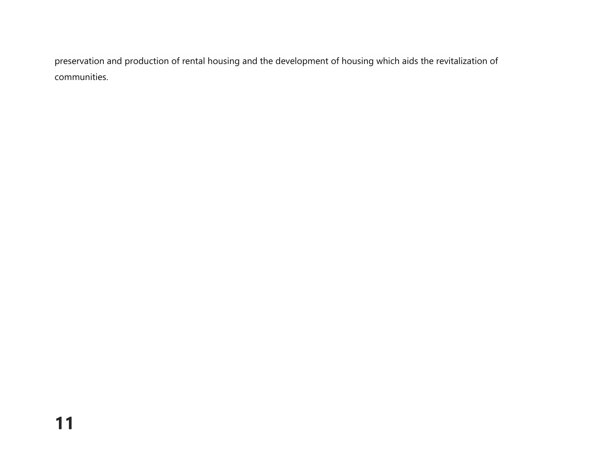preservation and production of rental housing and the development of housing which aids the revitalization of communities.